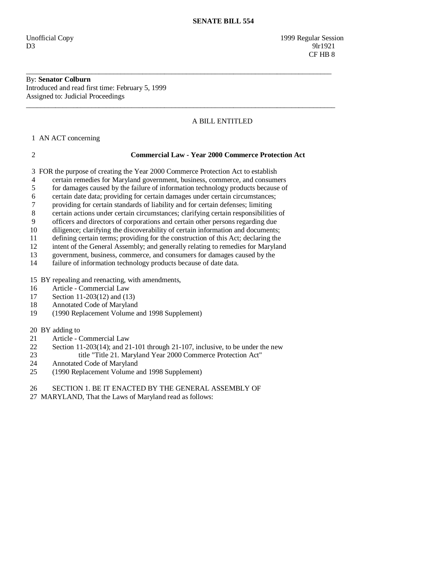# By: **Senator Colburn**  Introduced and read first time: February 5, 1999

Assigned to: Judicial Proceedings \_\_\_\_\_\_\_\_\_\_\_\_\_\_\_\_\_\_\_\_\_\_\_\_\_\_\_\_\_\_\_\_\_\_\_\_\_\_\_\_\_\_\_\_\_\_\_\_\_\_\_\_\_\_\_\_\_\_\_\_\_\_\_\_\_\_\_\_\_\_\_\_\_\_\_\_\_\_\_\_\_\_\_\_\_

# A BILL ENTITLED

1 AN ACT concerning

# 2 **Commercial Law - Year 2000 Commerce Protection Act**

3 FOR the purpose of creating the Year 2000 Commerce Protection Act to establish

4 certain remedies for Maryland government, business, commerce, and consumers

\_\_\_\_\_\_\_\_\_\_\_\_\_\_\_\_\_\_\_\_\_\_\_\_\_\_\_\_\_\_\_\_\_\_\_\_\_\_\_\_\_\_\_\_\_\_\_\_\_\_\_\_\_\_\_\_\_\_\_\_\_\_\_\_\_\_\_\_\_\_\_\_\_\_\_\_\_\_\_\_\_\_\_\_

- 5 for damages caused by the failure of information technology products because of
- 6 certain date data; providing for certain damages under certain circumstances;
- 7 providing for certain standards of liability and for certain defenses; limiting
- 8 certain actions under certain circumstances; clarifying certain responsibilities of
- 9 officers and directors of corporations and certain other persons regarding due
- 10 diligence; clarifying the discoverability of certain information and documents;
- 11 defining certain terms; providing for the construction of this Act; declaring the intent of the General Assembly: and generally relating to remedies for Marylan
- intent of the General Assembly; and generally relating to remedies for Maryland
- 13 government, business, commerce, and consumers for damages caused by the
- 14 failure of information technology products because of date data.
- 15 BY repealing and reenacting, with amendments,
- 16 Article Commercial Law
- 17 Section 11-203(12) and (13)
- 18 Annotated Code of Maryland
- 19 (1990 Replacement Volume and 1998 Supplement)
- 20 BY adding to
- 21 Article Commercial Law<br>22 Section 11-203(14): and 21
- 22 Section 11-203(14); and 21-101 through 21-107, inclusive, to be under the new<br>23 title "Title 21. Maryland Year 2000 Commerce Protection Act" title "Title 21. Maryland Year 2000 Commerce Protection Act"
- 
- 24 Annotated Code of Maryland<br>25 (1990 Replacement Volume a 25 (1990 Replacement Volume and 1998 Supplement)
- 26 SECTION 1. BE IT ENACTED BY THE GENERAL ASSEMBLY OF
- 27 MARYLAND, That the Laws of Maryland read as follows: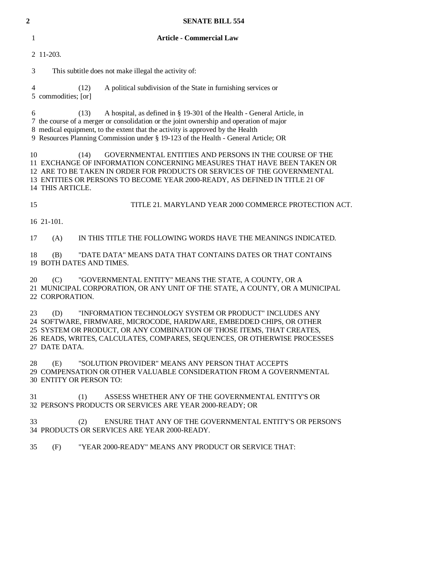| $\overline{\mathbf{c}}$ | <b>SENATE BILL 554</b>                                                                                                                                                                                                                                                                                                                            |
|-------------------------|---------------------------------------------------------------------------------------------------------------------------------------------------------------------------------------------------------------------------------------------------------------------------------------------------------------------------------------------------|
| 1                       | <b>Article - Commercial Law</b>                                                                                                                                                                                                                                                                                                                   |
|                         | 2 11-203.                                                                                                                                                                                                                                                                                                                                         |
| 3                       | This subtitle does not make illegal the activity of:                                                                                                                                                                                                                                                                                              |
| 4                       | A political subdivision of the State in furnishing services or<br>(12)<br>5 commodities; [or]                                                                                                                                                                                                                                                     |
| 6                       | A hospital, as defined in § 19-301 of the Health - General Article, in<br>(13)<br>7 the course of a merger or consolidation or the joint ownership and operation of major<br>8 medical equipment, to the extent that the activity is approved by the Health<br>9 Resources Planning Commission under § 19-123 of the Health - General Article; OR |
| 10                      | GOVERNMENTAL ENTITIES AND PERSONS IN THE COURSE OF THE<br>(14)<br>11 EXCHANGE OF INFORMATION CONCERNING MEASURES THAT HAVE BEEN TAKEN OR<br>12 ARE TO BE TAKEN IN ORDER FOR PRODUCTS OR SERVICES OF THE GOVERNMENTAL<br>13 ENTITIES OR PERSONS TO BECOME YEAR 2000-READY, AS DEFINED IN TITLE 21 OF<br>14 THIS ARTICLE.                           |
| 15                      | TITLE 21. MARYLAND YEAR 2000 COMMERCE PROTECTION ACT.                                                                                                                                                                                                                                                                                             |
|                         | 16 21-101.                                                                                                                                                                                                                                                                                                                                        |
| 17                      | IN THIS TITLE THE FOLLOWING WORDS HAVE THE MEANINGS INDICATED.<br>(A)                                                                                                                                                                                                                                                                             |
| 18                      | "DATE DATA" MEANS DATA THAT CONTAINS DATES OR THAT CONTAINS<br>(B)<br>19 BOTH DATES AND TIMES.                                                                                                                                                                                                                                                    |
| 20                      | "GOVERNMENTAL ENTITY" MEANS THE STATE, A COUNTY, OR A<br>(C)<br>21 MUNICIPAL CORPORATION, OR ANY UNIT OF THE STATE, A COUNTY, OR A MUNICIPAL<br>22 CORPORATION.                                                                                                                                                                                   |
| 23                      | "INFORMATION TECHNOLOGY SYSTEM OR PRODUCT" INCLUDES ANY<br>(D)<br>24 SOFTWARE, FIRMWARE, MICROCODE, HARDWARE, EMBEDDED CHIPS, OR OTHER<br>25 SYSTEM OR PRODUCT, OR ANY COMBINATION OF THOSE ITEMS, THAT CREATES,<br>26 READS, WRITES, CALCULATES, COMPARES, SEQUENCES, OR OTHERWISE PROCESSES<br>27 DATE DATA.                                    |
| 28                      | (E)<br>"SOLUTION PROVIDER" MEANS ANY PERSON THAT ACCEPTS<br>29 COMPENSATION OR OTHER VALUABLE CONSIDERATION FROM A GOVERNMENTAL<br>30 ENTITY OR PERSON TO:                                                                                                                                                                                        |
| 31                      | ASSESS WHETHER ANY OF THE GOVERNMENTAL ENTITY'S OR<br>(1)<br>32 PERSON'S PRODUCTS OR SERVICES ARE YEAR 2000-READY; OR                                                                                                                                                                                                                             |

 33 (2) ENSURE THAT ANY OF THE GOVERNMENTAL ENTITY'S OR PERSON'S 34 PRODUCTS OR SERVICES ARE YEAR 2000-READY.

35 (F) "YEAR 2000-READY" MEANS ANY PRODUCT OR SERVICE THAT: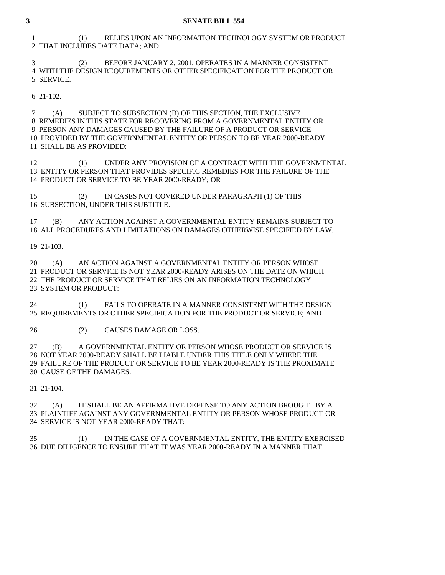1 (1) RELIES UPON AN INFORMATION TECHNOLOGY SYSTEM OR PRODUCT 2 THAT INCLUDES DATE DATA; AND

 3 (2) BEFORE JANUARY 2, 2001, OPERATES IN A MANNER CONSISTENT 4 WITH THE DESIGN REQUIREMENTS OR OTHER SPECIFICATION FOR THE PRODUCT OR 5 SERVICE.

6 21-102.

 7 (A) SUBJECT TO SUBSECTION (B) OF THIS SECTION, THE EXCLUSIVE 8 REMEDIES IN THIS STATE FOR RECOVERING FROM A GOVERNMENTAL ENTITY OR 9 PERSON ANY DAMAGES CAUSED BY THE FAILURE OF A PRODUCT OR SERVICE 10 PROVIDED BY THE GOVERNMENTAL ENTITY OR PERSON TO BE YEAR 2000-READY 11 SHALL BE AS PROVIDED:

 12 (1) UNDER ANY PROVISION OF A CONTRACT WITH THE GOVERNMENTAL 13 ENTITY OR PERSON THAT PROVIDES SPECIFIC REMEDIES FOR THE FAILURE OF THE 14 PRODUCT OR SERVICE TO BE YEAR 2000-READY; OR

 15 (2) IN CASES NOT COVERED UNDER PARAGRAPH (1) OF THIS 16 SUBSECTION, UNDER THIS SUBTITLE.

 17 (B) ANY ACTION AGAINST A GOVERNMENTAL ENTITY REMAINS SUBJECT TO 18 ALL PROCEDURES AND LIMITATIONS ON DAMAGES OTHERWISE SPECIFIED BY LAW.

19 21-103.

 20 (A) AN ACTION AGAINST A GOVERNMENTAL ENTITY OR PERSON WHOSE 21 PRODUCT OR SERVICE IS NOT YEAR 2000-READY ARISES ON THE DATE ON WHICH 22 THE PRODUCT OR SERVICE THAT RELIES ON AN INFORMATION TECHNOLOGY 23 SYSTEM OR PRODUCT:

 24 (1) FAILS TO OPERATE IN A MANNER CONSISTENT WITH THE DESIGN 25 REQUIREMENTS OR OTHER SPECIFICATION FOR THE PRODUCT OR SERVICE; AND

26 (2) CAUSES DAMAGE OR LOSS.

 27 (B) A GOVERNMENTAL ENTITY OR PERSON WHOSE PRODUCT OR SERVICE IS 28 NOT YEAR 2000-READY SHALL BE LIABLE UNDER THIS TITLE ONLY WHERE THE 29 FAILURE OF THE PRODUCT OR SERVICE TO BE YEAR 2000-READY IS THE PROXIMATE 30 CAUSE OF THE DAMAGES.

31 21-104.

 32 (A) IT SHALL BE AN AFFIRMATIVE DEFENSE TO ANY ACTION BROUGHT BY A 33 PLAINTIFF AGAINST ANY GOVERNMENTAL ENTITY OR PERSON WHOSE PRODUCT OR 34 SERVICE IS NOT YEAR 2000-READY THAT:

 35 (1) IN THE CASE OF A GOVERNMENTAL ENTITY, THE ENTITY EXERCISED 36 DUE DILIGENCE TO ENSURE THAT IT WAS YEAR 2000-READY IN A MANNER THAT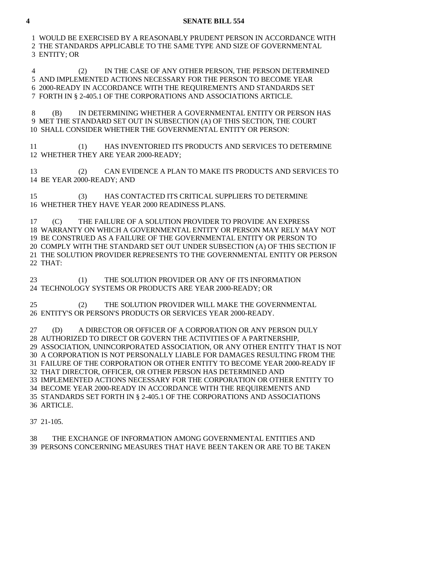1 WOULD BE EXERCISED BY A REASONABLY PRUDENT PERSON IN ACCORDANCE WITH 2 THE STANDARDS APPLICABLE TO THE SAME TYPE AND SIZE OF GOVERNMENTAL 3 ENTITY; OR

 4 (2) IN THE CASE OF ANY OTHER PERSON, THE PERSON DETERMINED 5 AND IMPLEMENTED ACTIONS NECESSARY FOR THE PERSON TO BECOME YEAR 6 2000-READY IN ACCORDANCE WITH THE REQUIREMENTS AND STANDARDS SET 7 FORTH IN § 2-405.1 OF THE CORPORATIONS AND ASSOCIATIONS ARTICLE.

 8 (B) IN DETERMINING WHETHER A GOVERNMENTAL ENTITY OR PERSON HAS 9 MET THE STANDARD SET OUT IN SUBSECTION (A) OF THIS SECTION, THE COURT 10 SHALL CONSIDER WHETHER THE GOVERNMENTAL ENTITY OR PERSON:

 11 (1) HAS INVENTORIED ITS PRODUCTS AND SERVICES TO DETERMINE 12 WHETHER THEY ARE YEAR 2000-READY;

 13 (2) CAN EVIDENCE A PLAN TO MAKE ITS PRODUCTS AND SERVICES TO 14 BE YEAR 2000-READY; AND

 15 (3) HAS CONTACTED ITS CRITICAL SUPPLIERS TO DETERMINE 16 WHETHER THEY HAVE YEAR 2000 READINESS PLANS.

 17 (C) THE FAILURE OF A SOLUTION PROVIDER TO PROVIDE AN EXPRESS 18 WARRANTY ON WHICH A GOVERNMENTAL ENTITY OR PERSON MAY RELY MAY NOT 19 BE CONSTRUED AS A FAILURE OF THE GOVERNMENTAL ENTITY OR PERSON TO 20 COMPLY WITH THE STANDARD SET OUT UNDER SUBSECTION (A) OF THIS SECTION IF 21 THE SOLUTION PROVIDER REPRESENTS TO THE GOVERNMENTAL ENTITY OR PERSON 22 THAT:

23 (1) THE SOLUTION PROVIDER OR ANY OF ITS INFORMATION 24 TECHNOLOGY SYSTEMS OR PRODUCTS ARE YEAR 2000-READY; OR

 25 (2) THE SOLUTION PROVIDER WILL MAKE THE GOVERNMENTAL 26 ENTITY'S OR PERSON'S PRODUCTS OR SERVICES YEAR 2000-READY.

 27 (D) A DIRECTOR OR OFFICER OF A CORPORATION OR ANY PERSON DULY 28 AUTHORIZED TO DIRECT OR GOVERN THE ACTIVITIES OF A PARTNERSHIP, 29 ASSOCIATION, UNINCORPORATED ASSOCIATION, OR ANY OTHER ENTITY THAT IS NOT 30 A CORPORATION IS NOT PERSONALLY LIABLE FOR DAMAGES RESULTING FROM THE 31 FAILURE OF THE CORPORATION OR OTHER ENTITY TO BECOME YEAR 2000-READY IF 32 THAT DIRECTOR, OFFICER, OR OTHER PERSON HAS DETERMINED AND 33 IMPLEMENTED ACTIONS NECESSARY FOR THE CORPORATION OR OTHER ENTITY TO 34 BECOME YEAR 2000-READY IN ACCORDANCE WITH THE REQUIREMENTS AND 35 STANDARDS SET FORTH IN § 2-405.1 OF THE CORPORATIONS AND ASSOCIATIONS 36 ARTICLE.

37 21-105.

 38 THE EXCHANGE OF INFORMATION AMONG GOVERNMENTAL ENTITIES AND 39 PERSONS CONCERNING MEASURES THAT HAVE BEEN TAKEN OR ARE TO BE TAKEN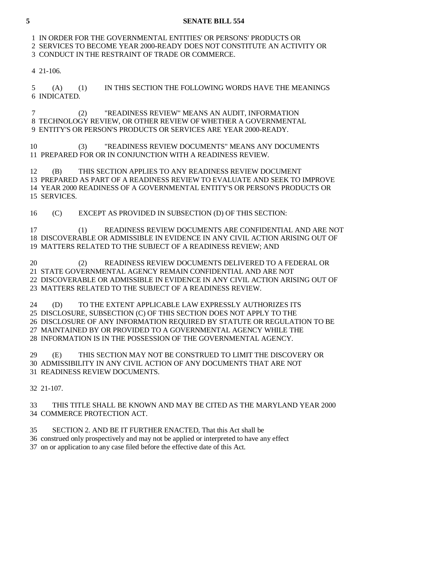1 IN ORDER FOR THE GOVERNMENTAL ENTITIES' OR PERSONS' PRODUCTS OR 2 SERVICES TO BECOME YEAR 2000-READY DOES NOT CONSTITUTE AN ACTIVITY OR 3 CONDUCT IN THE RESTRAINT OF TRADE OR COMMERCE.

4 21-106.

 5 (A) (1) IN THIS SECTION THE FOLLOWING WORDS HAVE THE MEANINGS 6 INDICATED.

 7 (2) "READINESS REVIEW" MEANS AN AUDIT, INFORMATION 8 TECHNOLOGY REVIEW, OR OTHER REVIEW OF WHETHER A GOVERNMENTAL 9 ENTITY'S OR PERSON'S PRODUCTS OR SERVICES ARE YEAR 2000-READY.

 10 (3) "READINESS REVIEW DOCUMENTS" MEANS ANY DOCUMENTS 11 PREPARED FOR OR IN CONJUNCTION WITH A READINESS REVIEW.

 12 (B) THIS SECTION APPLIES TO ANY READINESS REVIEW DOCUMENT 13 PREPARED AS PART OF A READINESS REVIEW TO EVALUATE AND SEEK TO IMPROVE 14 YEAR 2000 READINESS OF A GOVERNMENTAL ENTITY'S OR PERSON'S PRODUCTS OR 15 SERVICES.

16 (C) EXCEPT AS PROVIDED IN SUBSECTION (D) OF THIS SECTION:

 17 (1) READINESS REVIEW DOCUMENTS ARE CONFIDENTIAL AND ARE NOT 18 DISCOVERABLE OR ADMISSIBLE IN EVIDENCE IN ANY CIVIL ACTION ARISING OUT OF 19 MATTERS RELATED TO THE SUBJECT OF A READINESS REVIEW; AND

 20 (2) READINESS REVIEW DOCUMENTS DELIVERED TO A FEDERAL OR 21 STATE GOVERNMENTAL AGENCY REMAIN CONFIDENTIAL AND ARE NOT 22 DISCOVERABLE OR ADMISSIBLE IN EVIDENCE IN ANY CIVIL ACTION ARISING OUT OF 23 MATTERS RELATED TO THE SUBJECT OF A READINESS REVIEW.

 24 (D) TO THE EXTENT APPLICABLE LAW EXPRESSLY AUTHORIZES ITS 25 DISCLOSURE, SUBSECTION (C) OF THIS SECTION DOES NOT APPLY TO THE 26 DISCLOSURE OF ANY INFORMATION REQUIRED BY STATUTE OR REGULATION TO BE 27 MAINTAINED BY OR PROVIDED TO A GOVERNMENTAL AGENCY WHILE THE 28 INFORMATION IS IN THE POSSESSION OF THE GOVERNMENTAL AGENCY.

 29 (E) THIS SECTION MAY NOT BE CONSTRUED TO LIMIT THE DISCOVERY OR 30 ADMISSIBILITY IN ANY CIVIL ACTION OF ANY DOCUMENTS THAT ARE NOT 31 READINESS REVIEW DOCUMENTS.

32 21-107.

 33 THIS TITLE SHALL BE KNOWN AND MAY BE CITED AS THE MARYLAND YEAR 2000 34 COMMERCE PROTECTION ACT.

35 SECTION 2. AND BE IT FURTHER ENACTED, That this Act shall be

36 construed only prospectively and may not be applied or interpreted to have any effect

37 on or application to any case filed before the effective date of this Act.